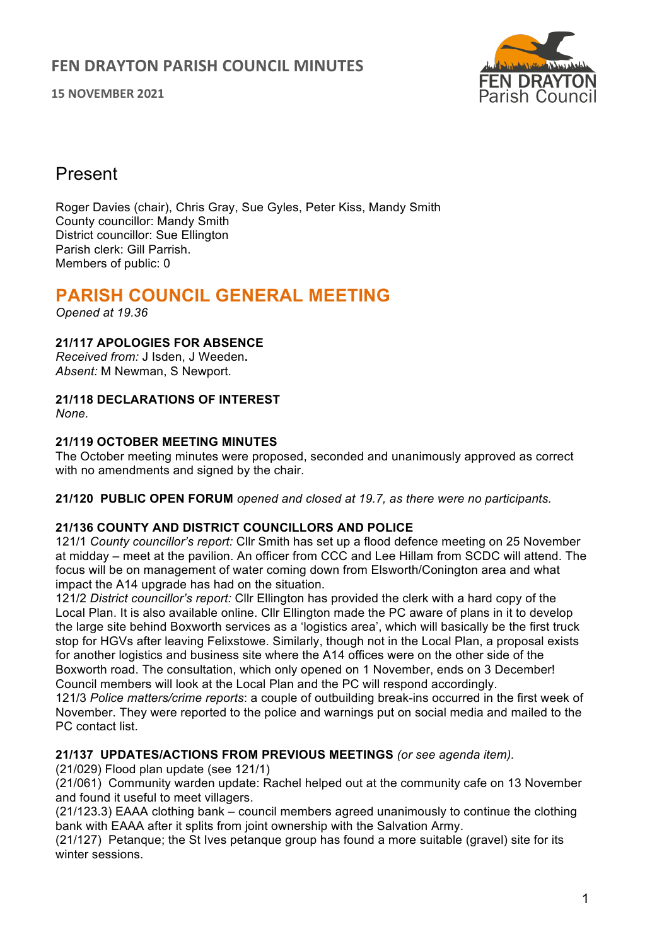**15 NOVEMBER 2021**



## Present

Roger Davies (chair), Chris Gray, Sue Gyles, Peter Kiss, Mandy Smith County councillor: Mandy Smith District councillor: Sue Ellington Parish clerk: Gill Parrish. Members of public: 0

# **PARISH COUNCIL GENERAL MEETING**

*Opened at 19.36*

## **21/117 APOLOGIES FOR ABSENCE**

*Received from:* J Isden, J Weeden**.** *Absent:* M Newman, S Newport.

# **21/118 DECLARATIONS OF INTEREST**

*None.*

## **21/119 OCTOBER MEETING MINUTES**

The October meeting minutes were proposed, seconded and unanimously approved as correct with no amendments and signed by the chair.

**21/120 PUBLIC OPEN FORUM** *opened and closed at 19.7, as there were no participants.*

## **21/136 COUNTY AND DISTRICT COUNCILLORS AND POLICE**

121/1 *County councillor's report:* Cllr Smith has set up a flood defence meeting on 25 November at midday – meet at the pavilion. An officer from CCC and Lee Hillam from SCDC will attend. The focus will be on management of water coming down from Elsworth/Conington area and what impact the A14 upgrade has had on the situation.

121/2 *District councillor's report:* Cllr Ellington has provided the clerk with a hard copy of the Local Plan. It is also available online. Cllr Ellington made the PC aware of plans in it to develop the large site behind Boxworth services as a 'logistics area', which will basically be the first truck stop for HGVs after leaving Felixstowe. Similarly, though not in the Local Plan, a proposal exists for another logistics and business site where the A14 offices were on the other side of the Boxworth road. The consultation, which only opened on 1 November, ends on 3 December! Council members will look at the Local Plan and the PC will respond accordingly.

121/3 *Police matters/crime reports*: a couple of outbuilding break-ins occurred in the first week of November. They were reported to the police and warnings put on social media and mailed to the PC contact list.

## **21/137 UPDATES/ACTIONS FROM PREVIOUS MEETINGS** *(or see agenda item).*

(21/029) Flood plan update (see 121/1)

(21/061) Community warden update: Rachel helped out at the community cafe on 13 November and found it useful to meet villagers.

(21/123.3) EAAA clothing bank – council members agreed unanimously to continue the clothing bank with EAAA after it splits from joint ownership with the Salvation Army.

(21/127) Petanque; the St Ives petanque group has found a more suitable (gravel) site for its winter sessions.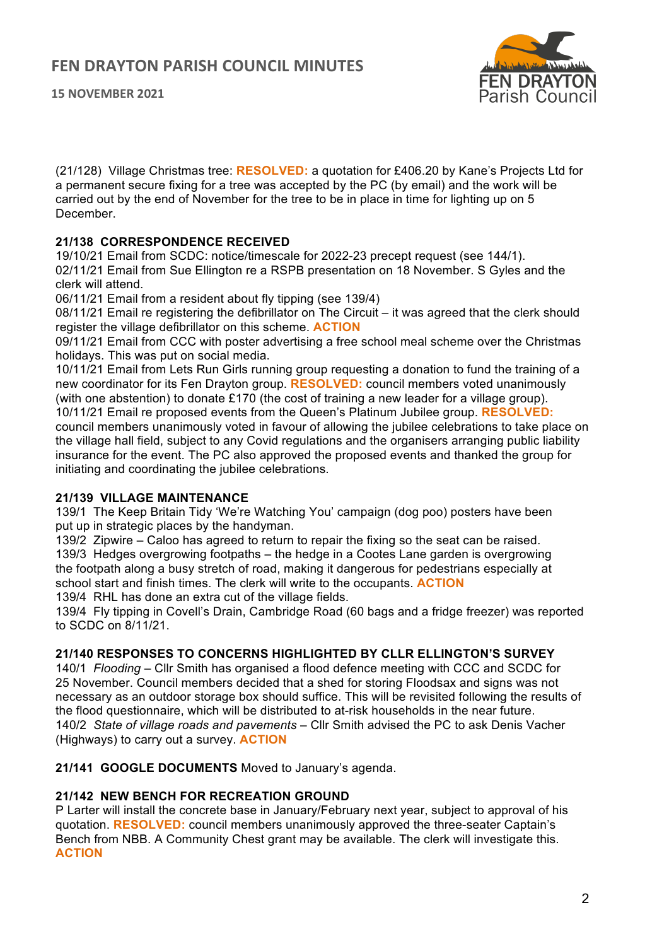**15 NOVEMBER 2021**



(21/128) Village Christmas tree: **RESOLVED:** a quotation for £406.20 by Kane's Projects Ltd for a permanent secure fixing for a tree was accepted by the PC (by email) and the work will be carried out by the end of November for the tree to be in place in time for lighting up on 5 December.

### **21/138 CORRESPONDENCE RECEIVED**

19/10/21 Email from SCDC: notice/timescale for 2022-23 precept request (see 144/1). 02/11/21 Email from Sue Ellington re a RSPB presentation on 18 November. S Gyles and the clerk will attend.

06/11/21 Email from a resident about fly tipping (see 139/4)

08/11/21 Email re registering the defibrillator on The Circuit – it was agreed that the clerk should register the village defibrillator on this scheme. **ACTION**

09/11/21 Email from CCC with poster advertising a free school meal scheme over the Christmas holidays. This was put on social media.

10/11/21 Email from Lets Run Girls running group requesting a donation to fund the training of a new coordinator for its Fen Drayton group. **RESOLVED:** council members voted unanimously (with one abstention) to donate £170 (the cost of training a new leader for a village group). 10/11/21 Email re proposed events from the Queen's Platinum Jubilee group. **RESOLVED:** council members unanimously voted in favour of allowing the jubilee celebrations to take place on the village hall field, subject to any Covid regulations and the organisers arranging public liability insurance for the event. The PC also approved the proposed events and thanked the group for initiating and coordinating the jubilee celebrations.

#### **21/139 VILLAGE MAINTENANCE**

139/1 The Keep Britain Tidy 'We're Watching You' campaign (dog poo) posters have been put up in strategic places by the handyman.

139/2 Zipwire – Caloo has agreed to return to repair the fixing so the seat can be raised. 139/3 Hedges overgrowing footpaths – the hedge in a Cootes Lane garden is overgrowing the footpath along a busy stretch of road, making it dangerous for pedestrians especially at school start and finish times. The clerk will write to the occupants. **ACTION**

139/4 RHL has done an extra cut of the village fields.

139/4 Fly tipping in Covell's Drain, Cambridge Road (60 bags and a fridge freezer) was reported to SCDC on 8/11/21.

#### **21/140 RESPONSES TO CONCERNS HIGHLIGHTED BY CLLR ELLINGTON'S SURVEY**

140/1 *Flooding* – Cllr Smith has organised a flood defence meeting with CCC and SCDC for 25 November. Council members decided that a shed for storing Floodsax and signs was not necessary as an outdoor storage box should suffice. This will be revisited following the results of the flood questionnaire, which will be distributed to at-risk households in the near future. 140/2 *State of village roads and pavements –* Cllr Smith advised the PC to ask Denis Vacher (Highways) to carry out a survey. **ACTION**

**21/141 GOOGLE DOCUMENTS** Moved to January's agenda.

#### **21/142 NEW BENCH FOR RECREATION GROUND**

P Larter will install the concrete base in January/February next year, subject to approval of his quotation. **RESOLVED:** council members unanimously approved the three-seater Captain's Bench from NBB. A Community Chest grant may be available. The clerk will investigate this. **ACTION**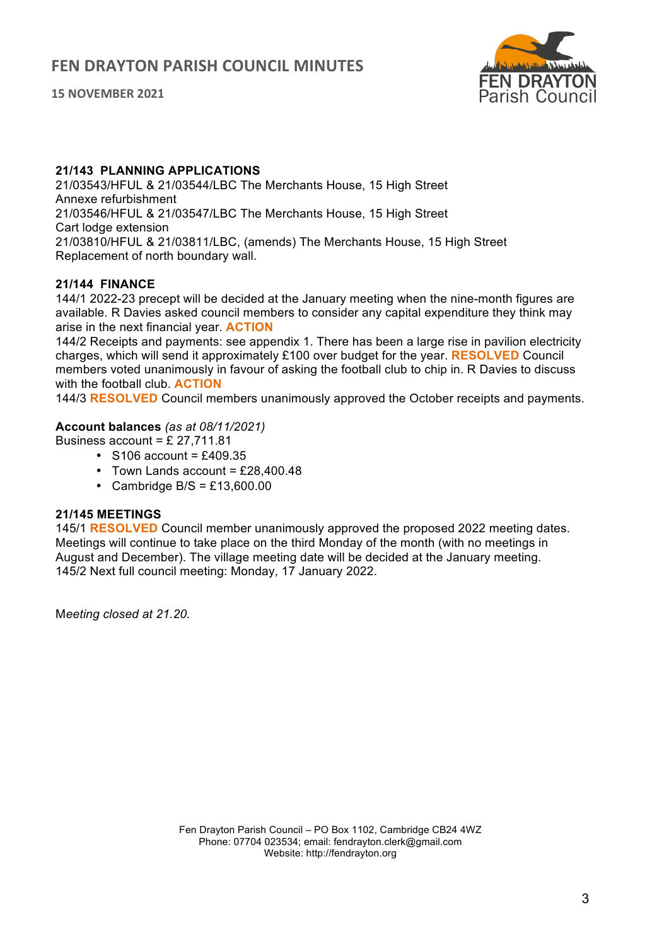**15 NOVEMBER 2021**



#### **21/143 PLANNING APPLICATIONS**

21/03543/HFUL & 21/03544/LBC The Merchants House, 15 High Street Annexe refurbishment 21/03546/HFUL & 21/03547/LBC The Merchants House, 15 High Street Cart lodge extension 21/03810/HFUL & 21/03811/LBC, (amends) The Merchants House, 15 High Street Replacement of north boundary wall.

## **21/144 FINANCE**

144/1 2022-23 precept will be decided at the January meeting when the nine-month figures are available. R Davies asked council members to consider any capital expenditure they think may arise in the next financial year. **ACTION**

144/2 Receipts and payments: see appendix 1. There has been a large rise in pavilion electricity charges, which will send it approximately £100 over budget for the year. **RESOLVED** Council members voted unanimously in favour of asking the football club to chip in. R Davies to discuss with the football club. **ACTION**

144/3 **RESOLVED** Council members unanimously approved the October receipts and payments.

### **Account balances** *(as at 08/11/2021)*

Business account =  $£$  27,711.81

- $\cdot$  S106 account = £409.35
- Town Lands account =  $£28,400,48$
- Cambridge B/S =  $£13,600.00$

#### **21/145 MEETINGS**

145/1 **RESOLVED** Council member unanimously approved the proposed 2022 meeting dates. Meetings will continue to take place on the third Monday of the month (with no meetings in August and December). The village meeting date will be decided at the January meeting. 145/2 Next full council meeting: Monday, 17 January 2022.

M*eeting closed at 21.20.*